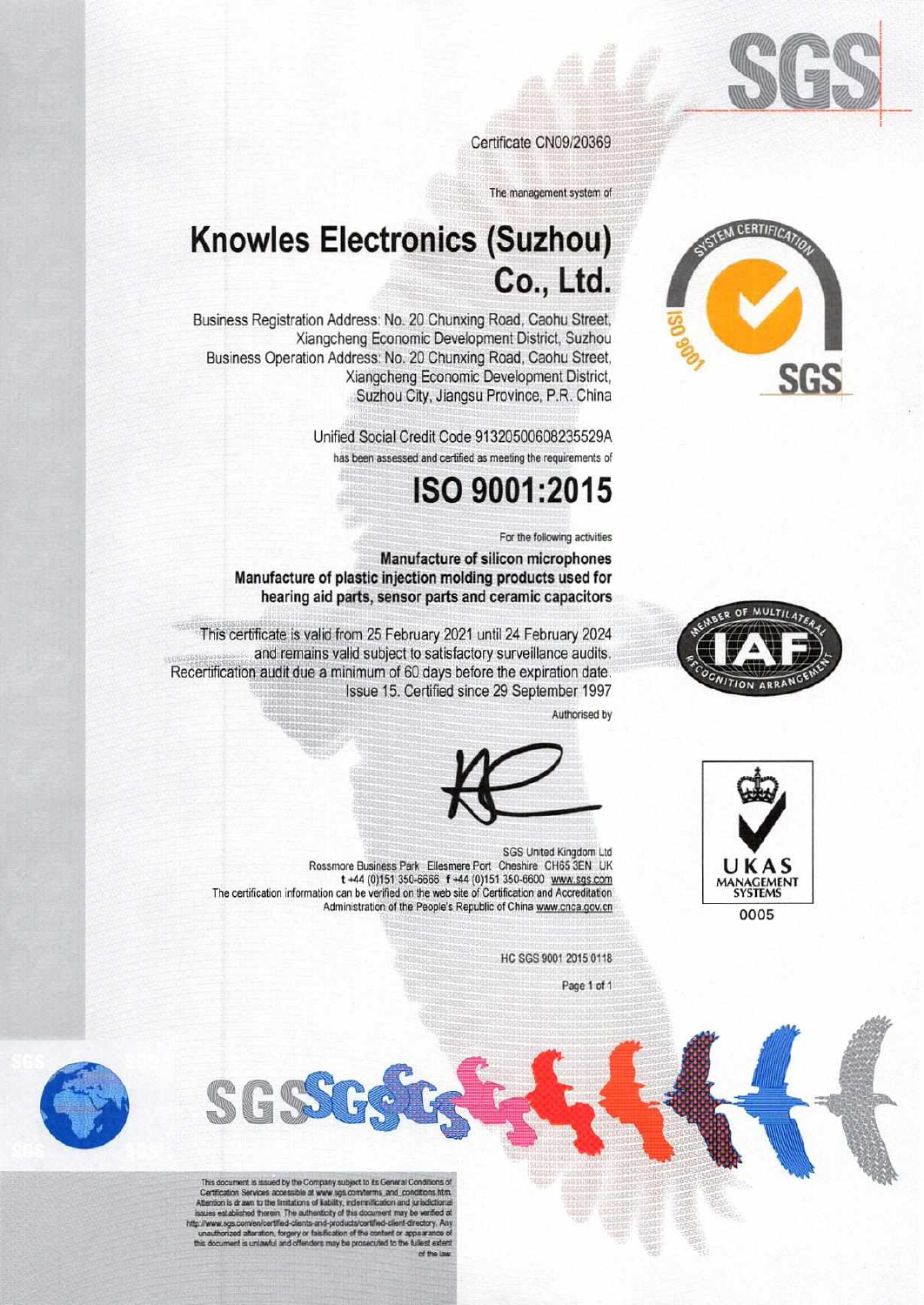

Certificate CN09/20369

The management system of

## **Knowles Electronics (Suzhou)** Co., Ltd.

Business Registration Address: No. 20 Chunxing Road, Caohu Street, Xiangcheng Economic Development District, Suzhou Business Operation Address: No. 20 Chunxing Road, Caohu Street, Xiangcheng Economic Development District, Suzhou City, Jiangsu Province, P.R. China

> Unified Social Credit Code 91320500608235529A has been assessed and certified as meeting the requirements of

## ISO 9001:2015

For the following activities

Manufacture of silicon microphones Manufacture of plastic injection molding products used for hearing aid parts, sensor parts and ceramic capacitors

This certificate is valid from 25 February 2021 until 24 February 2024 and remains valid subject to satisfactory surveillance audits. Recertification audit due a minimum of 60 days before the expiration date. Issue 15. Certified since 29 September 1997

Authorised by



SGS United Kingdom Ltd Rossmore Business Park Ellesmere Port Cheshire CH65 3EN UK t +44 (0)151 350-6666 f +44 (0)151 350-6600 www.sqs.com The certification information can be verified on the web site of Certification and Accreditation Administration of the People's Republic of China www.cnca.gov.cn

HC SGS 9001 2015 0118

Page 1 of 1



This document is issued by the Company subject to its General Conditions of<br>Certification Services accessible at www.sgs.com/terms\_and\_conditions.htm<br>Attention is drawn to the limitations of liability, indemnification and Figures established therein. The authenticity of this document may be verified at issues established therein. The authenticity of this document may be verified at the contribution of the contribution of the contribution of

SGS







0005